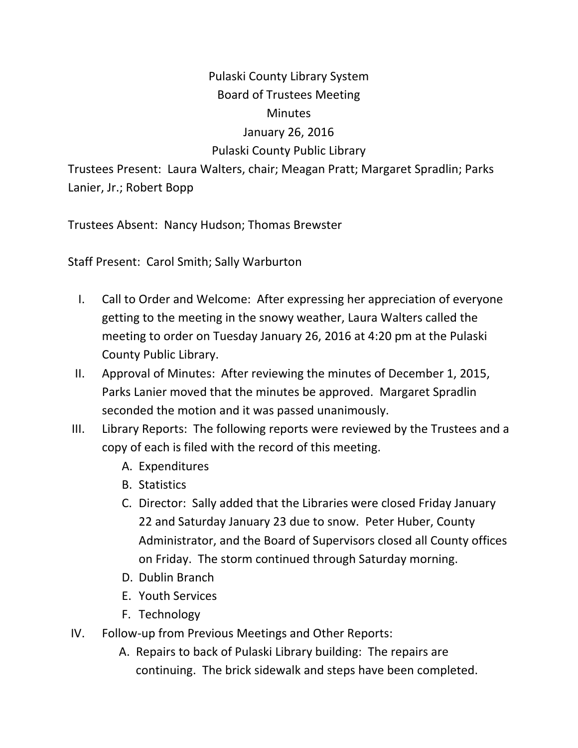## Pulaski County Library System Board of Trustees Meeting **Minutes** January 26, 2016 Pulaski County Public Library

Trustees Present: Laura Walters, chair; Meagan Pratt; Margaret Spradlin; Parks Lanier, Jr.; Robert Bopp

Trustees Absent: Nancy Hudson; Thomas Brewster

Staff Present: Carol Smith; Sally Warburton

- I. Call to Order and Welcome: After expressing her appreciation of everyone getting to the meeting in the snowy weather, Laura Walters called the meeting to order on Tuesday January 26, 2016 at 4:20 pm at the Pulaski County Public Library.
- II. Approval of Minutes: After reviewing the minutes of December 1, 2015, Parks Lanier moved that the minutes be approved. Margaret Spradlin seconded the motion and it was passed unanimously.
- III. Library Reports: The following reports were reviewed by the Trustees and a copy of each is filed with the record of this meeting.
	- A. Expenditures
	- B. Statistics
	- C. Director: Sally added that the Libraries were closed Friday January 22 and Saturday January 23 due to snow. Peter Huber, County Administrator, and the Board of Supervisors closed all County offices on Friday. The storm continued through Saturday morning.
	- D. Dublin Branch
	- E. Youth Services
	- F. Technology
- IV. Follow‐up from Previous Meetings and Other Reports:
	- A. Repairs to back of Pulaski Library building: The repairs are continuing. The brick sidewalk and steps have been completed.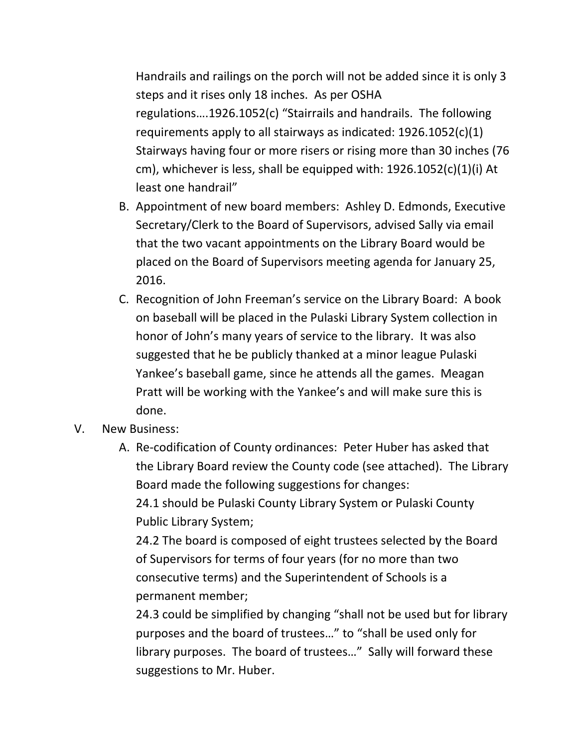Handrails and railings on the porch will not be added since it is only 3 steps and it rises only 18 inches. As per OSHA regulations….1926.1052(c) "Stairrails and handrails. The following requirements apply to all stairways as indicated: 1926.1052(c)(1) Stairways having four or more risers or rising more than 30 inches (76 cm), whichever is less, shall be equipped with:  $1926.1052(c)(1)(i)$  At least one handrail"

- B. Appointment of new board members: Ashley D. Edmonds, Executive Secretary/Clerk to the Board of Supervisors, advised Sally via email that the two vacant appointments on the Library Board would be placed on the Board of Supervisors meeting agenda for January 25, 2016.
- C. Recognition of John Freeman's service on the Library Board: A book on baseball will be placed in the Pulaski Library System collection in honor of John's many years of service to the library. It was also suggested that he be publicly thanked at a minor league Pulaski Yankee's baseball game, since he attends all the games. Meagan Pratt will be working with the Yankee's and will make sure this is done.
- V. New Business:
	- A. Re‐codification of County ordinances: Peter Huber has asked that the Library Board review the County code (see attached). The Library Board made the following suggestions for changes: 24.1 should be Pulaski County Library System or Pulaski County Public Library System;

24.2 The board is composed of eight trustees selected by the Board of Supervisors for terms of four years (for no more than two consecutive terms) and the Superintendent of Schools is a permanent member;

24.3 could be simplified by changing "shall not be used but for library purposes and the board of trustees…" to "shall be used only for library purposes. The board of trustees…" Sally will forward these suggestions to Mr. Huber.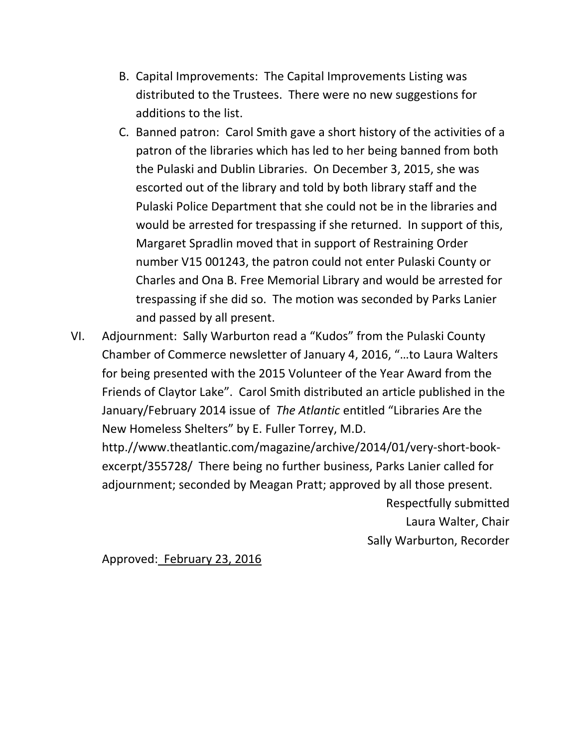- B. Capital Improvements: The Capital Improvements Listing was distributed to the Trustees. There were no new suggestions for additions to the list.
- C. Banned patron: Carol Smith gave a short history of the activities of a patron of the libraries which has led to her being banned from both the Pulaski and Dublin Libraries. On December 3, 2015, she was escorted out of the library and told by both library staff and the Pulaski Police Department that she could not be in the libraries and would be arrested for trespassing if she returned. In support of this, Margaret Spradlin moved that in support of Restraining Order number V15 001243, the patron could not enter Pulaski County or Charles and Ona B. Free Memorial Library and would be arrested for trespassing if she did so. The motion was seconded by Parks Lanier and passed by all present.
- VI. Adjournment: Sally Warburton read a "Kudos" from the Pulaski County Chamber of Commerce newsletter of January 4, 2016, "…to Laura Walters for being presented with the 2015 Volunteer of the Year Award from the Friends of Claytor Lake". Carol Smith distributed an article published in the January/February 2014 issue of *The Atlantic* entitled "Libraries Are the New Homeless Shelters" by E. Fuller Torrey, M.D.

http.//www.theatlantic.com/magazine/archive/2014/01/very‐short‐book‐ excerpt/355728/ There being no further business, Parks Lanier called for adjournment; seconded by Meagan Pratt; approved by all those present.

Respectfully submitted Laura Walter, Chair Sally Warburton, Recorder

Approved: February 23, 2016